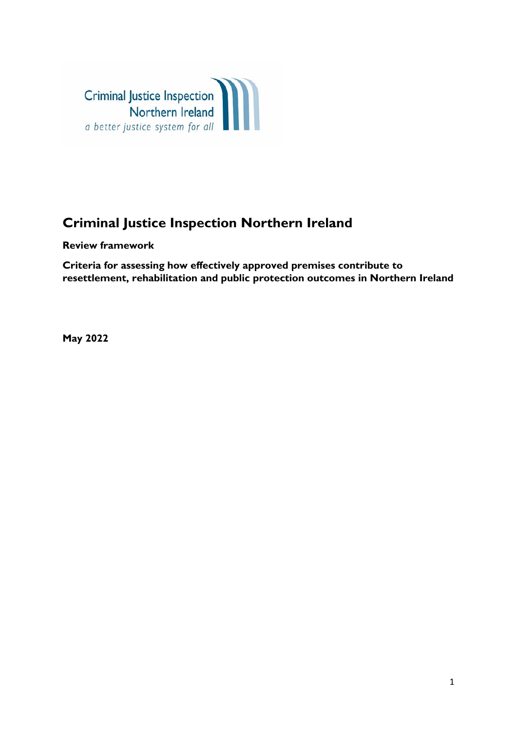

# **Criminal Justice Inspection Northern Ireland**

**Review framework**

**Criteria for assessing how effectively approved premises contribute to resettlement, rehabilitation and public protection outcomes in Northern Ireland**

**May 2022**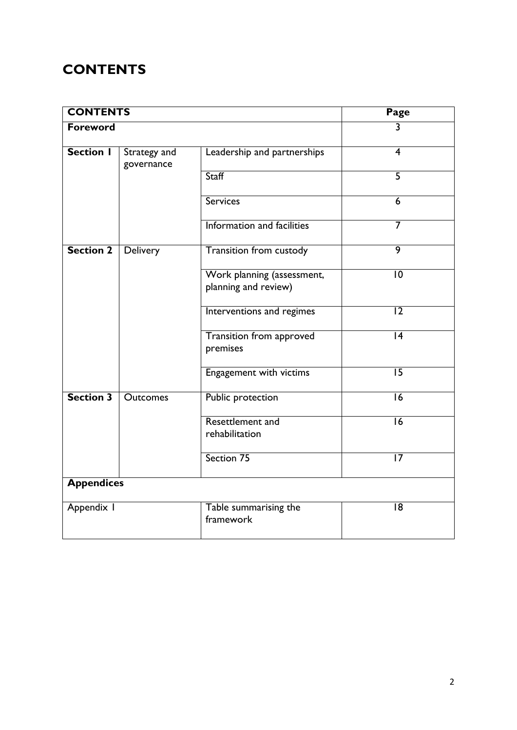# **CONTENTS**

| <b>CONTENTS</b>   | <b>Page</b><br>$\overline{3}$ |                                                    |                 |  |
|-------------------|-------------------------------|----------------------------------------------------|-----------------|--|
| Foreword          |                               |                                                    |                 |  |
| <b>Section I</b>  | Strategy and<br>governance    | Leadership and partnerships                        | $\overline{4}$  |  |
|                   |                               | <b>Staff</b>                                       | $\overline{5}$  |  |
|                   |                               | <b>Services</b>                                    | 6               |  |
|                   |                               | Information and facilities                         | 7               |  |
| <b>Section 2</b>  | Delivery                      | <b>Transition from custody</b>                     | 9               |  |
|                   |                               | Work planning (assessment,<br>planning and review) | $ 0\rangle$     |  |
|                   |                               | Interventions and regimes                          | $\overline{12}$ |  |
|                   |                               | <b>Transition from approved</b><br>premises        | 4               |  |
|                   |                               | Engagement with victims                            | $\overline{15}$ |  |
| <b>Section 3</b>  | <b>Outcomes</b>               | <b>Public protection</b>                           | $\overline{16}$ |  |
|                   |                               | Resettlement and<br>rehabilitation                 | $\overline{16}$ |  |
|                   |                               | Section 75                                         | $\overline{17}$ |  |
| <b>Appendices</b> |                               |                                                    |                 |  |
| Appendix I        |                               | Table summarising the<br>framework                 | 18              |  |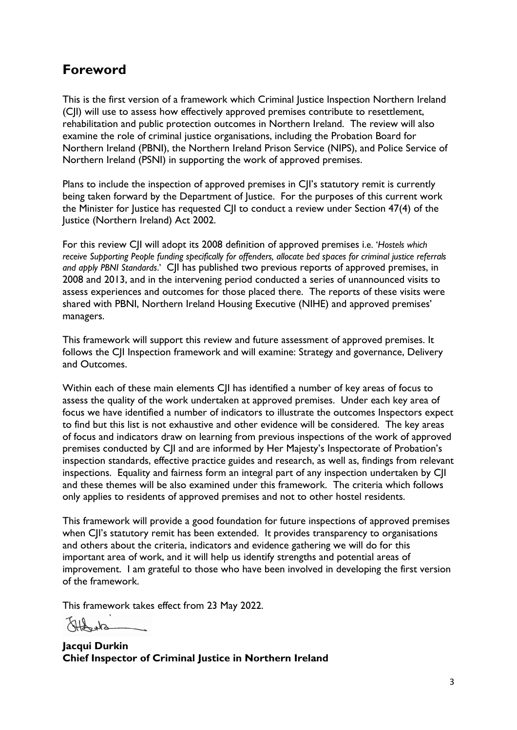# **Foreword**

This is the first version of a framework which Criminal Justice Inspection Northern Ireland (CJI) will use to assess how effectively approved premises contribute to resettlement, rehabilitation and public protection outcomes in Northern Ireland. The review will also examine the role of criminal justice organisations, including the Probation Board for Northern Ireland (PBNI), the Northern Ireland Prison Service (NIPS), and Police Service of Northern Ireland (PSNI) in supporting the work of approved premises.

Plans to include the inspection of approved premises in C|I's statutory remit is currently being taken forward by the Department of Justice. For the purposes of this current work the Minister for Justice has requested CJI to conduct a review under Section 47(4) of the Justice (Northern Ireland) Act 2002.

For this review CJI will adopt its 2008 definition of approved premises i.e. '*Hostels which receive Supporting People funding specifically for offenders, allocate bed spaces for criminal justice referrals and apply PBNI Standards*.' CJI has published two previous reports of approved premises, in 2008 and 2013, and in the intervening period conducted a series of unannounced visits to assess experiences and outcomes for those placed there. The reports of these visits were shared with PBNI, Northern Ireland Housing Executive (NIHE) and approved premises' managers.

This framework will support this review and future assessment of approved premises. It follows the CJI Inspection framework and will examine: Strategy and governance, Delivery and Outcomes.

Within each of these main elements CJI has identified a number of key areas of focus to assess the quality of the work undertaken at approved premises. Under each key area of focus we have identified a number of indicators to illustrate the outcomes Inspectors expect to find but this list is not exhaustive and other evidence will be considered. The key areas of focus and indicators draw on learning from previous inspections of the work of approved premises conducted by CJI and are informed by Her Majesty's Inspectorate of Probation's inspection standards, effective practice guides and research, as well as, findings from relevant inspections. Equality and fairness form an integral part of any inspection undertaken by CJI and these themes will be also examined under this framework. The criteria which follows only applies to residents of approved premises and not to other hostel residents.

This framework will provide a good foundation for future inspections of approved premises when CII's statutory remit has been extended. It provides transparency to organisations and others about the criteria, indicators and evidence gathering we will do for this important area of work, and it will help us identify strengths and potential areas of improvement. I am grateful to those who have been involved in developing the first version of the framework.

This framework takes effect from 23 May 2022.

 $sh_{cr}$ 

**Jacqui Durkin Chief Inspector of Criminal Justice in Northern Ireland**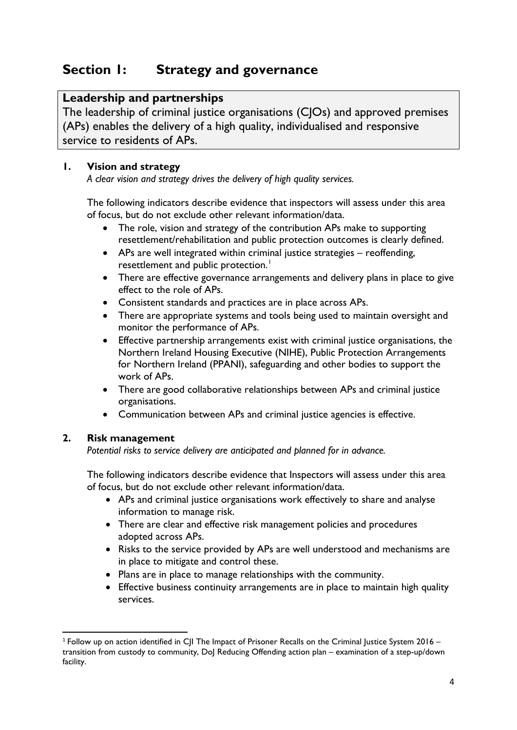# **Section 1: Strategy and governance**

# **Leadership and partnerships**

The leadership of criminal justice organisations (CJOs) and approved premises (APs) enables the delivery of a high quality, individualised and responsive service to residents of APs.

# **1. Vision and strategy**

*A clear vision and strategy drives the delivery of high quality services.*

The following indicators describe evidence that inspectors will assess under this area of focus, but do not exclude other relevant information/data.

- The role, vision and strategy of the contribution APs make to supporting resettlement/rehabilitation and public protection outcomes is clearly defined.
- APs are well integrated within criminal justice strategies reoffending, resettlement and public protection.<sup>[1](#page-3-0)</sup>
- There are effective governance arrangements and delivery plans in place to give effect to the role of APs.
- Consistent standards and practices are in place across APs.
- There are appropriate systems and tools being used to maintain oversight and monitor the performance of APs.
- Effective partnership arrangements exist with criminal justice organisations, the Northern Ireland Housing Executive (NIHE), Public Protection Arrangements for Northern Ireland (PPANI), safeguarding and other bodies to support the work of APs.
- There are good collaborative relationships between APs and criminal justice organisations.
- Communication between APs and criminal justice agencies is effective.

# **2. Risk management**

*Potential risks to service delivery are anticipated and planned for in advance.*

- APs and criminal justice organisations work effectively to share and analyse information to manage risk.
- There are clear and effective risk management policies and procedures adopted across APs.
- Risks to the service provided by APs are well understood and mechanisms are in place to mitigate and control these.
- Plans are in place to manage relationships with the community.
- Effective business continuity arrangements are in place to maintain high quality services.

<span id="page-3-0"></span><sup>&</sup>lt;sup>1</sup> Follow up on action identified in C|I The Impact of Prisoner Recalls on the Criminal Justice System 2016 – transition from custody to community, DoJ Reducing Offending action plan – examination of a step-up/down facility.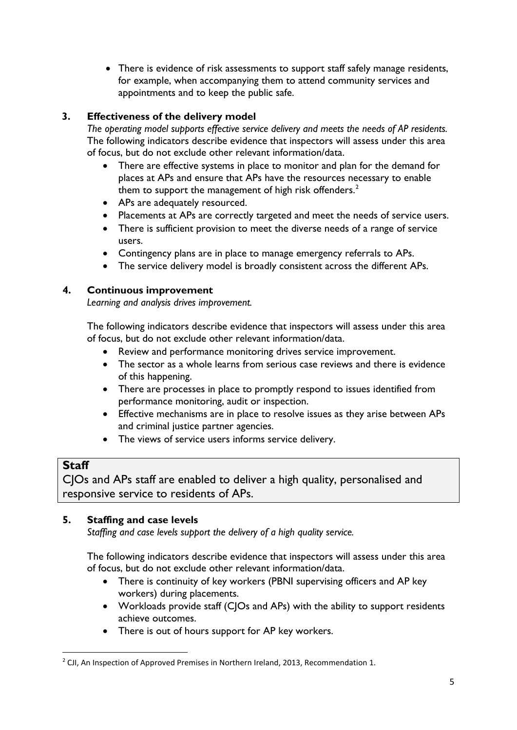• There is evidence of risk assessments to support staff safely manage residents, for example, when accompanying them to attend community services and appointments and to keep the public safe.

# **3. Effectiveness of the delivery model**

*The operating model supports effective service delivery and meets the needs of AP residents.* The following indicators describe evidence that inspectors will assess under this area of focus, but do not exclude other relevant information/data.

- There are effective systems in place to monitor and plan for the demand for places at APs and ensure that APs have the resources necessary to enable them to support the management of high risk offenders. $^{\text{2}}$  $^{\text{2}}$  $^{\text{2}}$
- APs are adequately resourced.
- Placements at APs are correctly targeted and meet the needs of service users.
- There is sufficient provision to meet the diverse needs of a range of service users.
- Contingency plans are in place to manage emergency referrals to APs.
- The service delivery model is broadly consistent across the different APs.

#### **4. Continuous improvement**

*Learning and analysis drives improvement.*

The following indicators describe evidence that inspectors will assess under this area of focus, but do not exclude other relevant information/data.

- Review and performance monitoring drives service improvement.
- The sector as a whole learns from serious case reviews and there is evidence of this happening.
- There are processes in place to promptly respond to issues identified from performance monitoring, audit or inspection.
- Effective mechanisms are in place to resolve issues as they arise between APs and criminal justice partner agencies.
- The views of service users informs service delivery.

# **Staff**

CJOs and APs staff are enabled to deliver a high quality, personalised and responsive service to residents of APs.

# **5. Staffing and case levels**

*Staffing and case levels support the delivery of a high quality service.*

- There is continuity of key workers (PBNI supervising officers and AP key workers) during placements.
- Workloads provide staff (CJOs and APs) with the ability to support residents achieve outcomes.
- There is out of hours support for AP key workers.

<span id="page-4-0"></span> $<sup>2</sup>$  CJI, An Inspection of Approved Premises in Northern Ireland, 2013, Recommendation 1.</sup>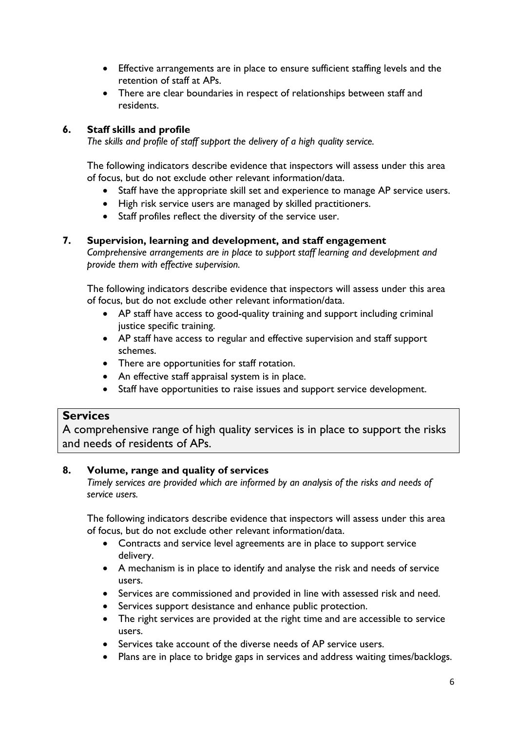- Effective arrangements are in place to ensure sufficient staffing levels and the retention of staff at APs.
- There are clear boundaries in respect of relationships between staff and residents.

# **6. Staff skills and profile**

*The skills and profile of staff support the delivery of a high quality service.*

The following indicators describe evidence that inspectors will assess under this area of focus, but do not exclude other relevant information/data.

- Staff have the appropriate skill set and experience to manage AP service users.
- High risk service users are managed by skilled practitioners.
- Staff profiles reflect the diversity of the service user.

#### **7. Supervision, learning and development, and staff engagement**

*Comprehensive arrangements are in place to support staff learning and development and provide them with effective supervision.*

The following indicators describe evidence that inspectors will assess under this area of focus, but do not exclude other relevant information/data.

- AP staff have access to good-quality training and support including criminal justice specific training.
- AP staff have access to regular and effective supervision and staff support schemes.
- There are opportunities for staff rotation.
- An effective staff appraisal system is in place.
- Staff have opportunities to raise issues and support service development.

# **Services**

A comprehensive range of high quality services is in place to support the risks and needs of residents of APs.

# **8. Volume, range and quality of services**

*Timely services are provided which are informed by an analysis of the risks and needs of service users.*

- Contracts and service level agreements are in place to support service delivery.
- A mechanism is in place to identify and analyse the risk and needs of service users.
- Services are commissioned and provided in line with assessed risk and need.
- Services support desistance and enhance public protection.
- The right services are provided at the right time and are accessible to service users.
- Services take account of the diverse needs of AP service users.
- Plans are in place to bridge gaps in services and address waiting times/backlogs.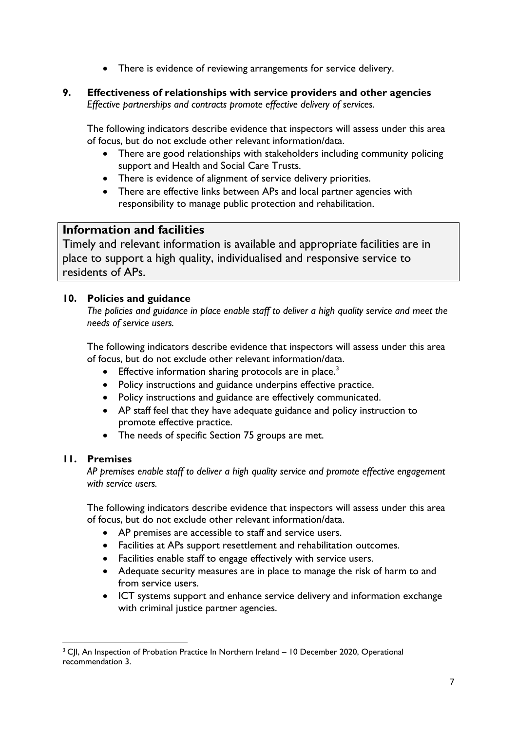- There is evidence of reviewing arrangements for service delivery.
- **9. Effectiveness of relationships with service providers and other agencies** *Effective partnerships and contracts promote effective delivery of services*.

The following indicators describe evidence that inspectors will assess under this area of focus, but do not exclude other relevant information/data.

- There are good relationships with stakeholders including community policing support and Health and Social Care Trusts.
- There is evidence of alignment of service delivery priorities.
- There are effective links between APs and local partner agencies with responsibility to manage public protection and rehabilitation.

# **Information and facilities**

Timely and relevant information is available and appropriate facilities are in place to support a high quality, individualised and responsive service to residents of APs.

#### **10. Policies and guidance**

*The policies and guidance in place enable staff to deliver a high quality service and meet the needs of service users.*

The following indicators describe evidence that inspectors will assess under this area of focus, but do not exclude other relevant information/data.

- Effective information sharing protocols are in place.<sup>[3](#page-6-0)</sup>
- Policy instructions and guidance underpins effective practice.
- Policy instructions and guidance are effectively communicated.
- AP staff feel that they have adequate guidance and policy instruction to promote effective practice.
- The needs of specific Section 75 groups are met.

#### **11. Premises**

*AP premises enable staff to deliver a high quality service and promote effective engagement with service users.*

- AP premises are accessible to staff and service users.
- Facilities at APs support resettlement and rehabilitation outcomes.
- Facilities enable staff to engage effectively with service users.
- Adequate security measures are in place to manage the risk of harm to and from service users.
- ICT systems support and enhance service delivery and information exchange with criminal justice partner agencies.

<span id="page-6-0"></span><sup>&</sup>lt;sup>3</sup> CII, An Inspection of Probation Practice In Northern Ireland – 10 December 2020, Operational recommendation 3.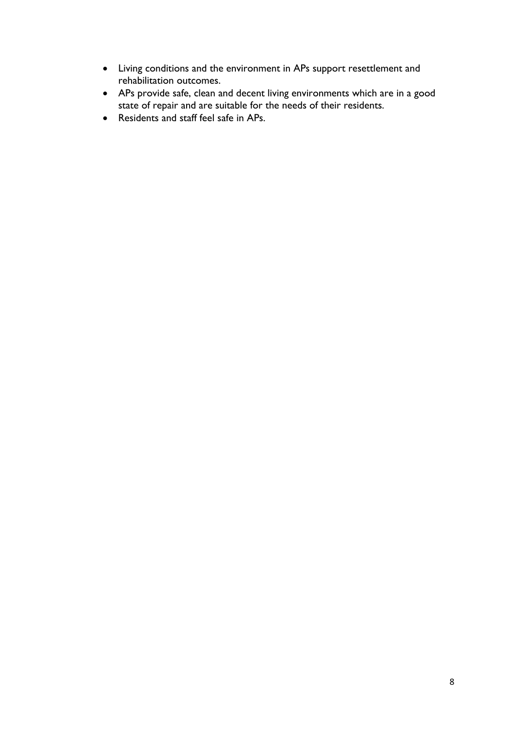- Living conditions and the environment in APs support resettlement and rehabilitation outcomes.
- APs provide safe, clean and decent living environments which are in a good state of repair and are suitable for the needs of their residents.
- Residents and staff feel safe in APs.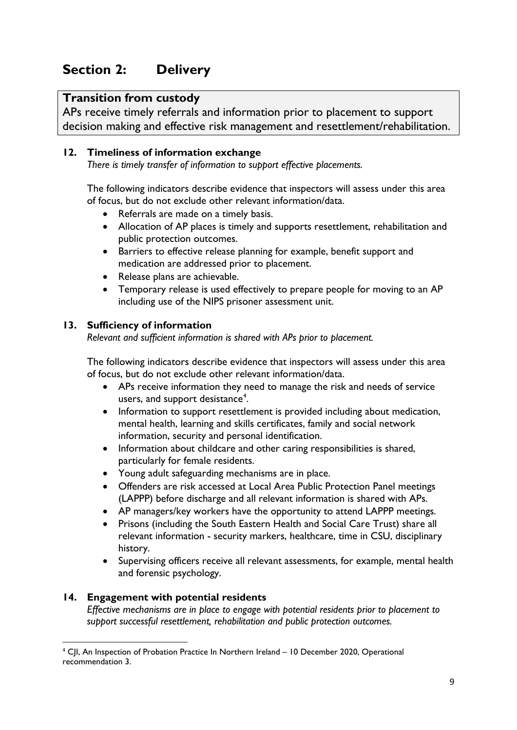# **Section 2: Delivery**

# **Transition from custody**

APs receive timely referrals and information prior to placement to support decision making and effective risk management and resettlement/rehabilitation.

#### **12. Timeliness of information exchange**

*There is timely transfer of information to support effective placements.*

The following indicators describe evidence that inspectors will assess under this area of focus, but do not exclude other relevant information/data.

- Referrals are made on a timely basis.
- Allocation of AP places is timely and supports resettlement, rehabilitation and public protection outcomes.
- Barriers to effective release planning for example, benefit support and medication are addressed prior to placement.
- Release plans are achievable.
- Temporary release is used effectively to prepare people for moving to an AP including use of the NIPS prisoner assessment unit.

#### **13. Sufficiency of information**

*Relevant and sufficient information is shared with APs prior to placement.*

The following indicators describe evidence that inspectors will assess under this area of focus, but do not exclude other relevant information/data.

- APs receive information they need to manage the risk and needs of service users, and support desistance<sup>[4](#page-8-0)</sup>.
- Information to support resettlement is provided including about medication, mental health, learning and skills certificates, family and social network information, security and personal identification.
- Information about childcare and other caring responsibilities is shared, particularly for female residents.
- Young adult safeguarding mechanisms are in place.
- Offenders are risk accessed at Local Area Public Protection Panel meetings (LAPPP) before discharge and all relevant information is shared with APs.
- AP managers/key workers have the opportunity to attend LAPPP meetings.
- Prisons (including the South Eastern Health and Social Care Trust) share all relevant information - security markers, healthcare, time in CSU, disciplinary history.
- Supervising officers receive all relevant assessments, for example, mental health and forensic psychology.

#### **14. Engagement with potential residents**

*Effective mechanisms are in place to engage with potential residents prior to placement to support successful resettlement, rehabilitation and public protection outcomes.*

<span id="page-8-0"></span> <sup>4</sup> CJI, An Inspection of Probation Practice In Northern Ireland – 10 December 2020, Operational recommendation 3.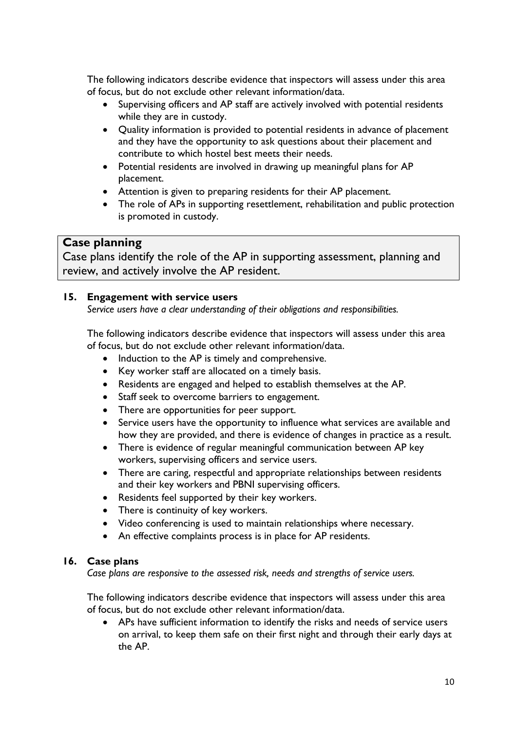The following indicators describe evidence that inspectors will assess under this area of focus, but do not exclude other relevant information/data.

- Supervising officers and AP staff are actively involved with potential residents while they are in custody.
- Quality information is provided to potential residents in advance of placement and they have the opportunity to ask questions about their placement and contribute to which hostel best meets their needs.
- Potential residents are involved in drawing up meaningful plans for AP placement.
- Attention is given to preparing residents for their AP placement.
- The role of APs in supporting resettlement, rehabilitation and public protection is promoted in custody.

# **Case planning**

Case plans identify the role of the AP in supporting assessment, planning and review, and actively involve the AP resident.

#### **15. Engagement with service users**

*Service users have a clear understanding of their obligations and responsibilities.*

The following indicators describe evidence that inspectors will assess under this area of focus, but do not exclude other relevant information/data.

- Induction to the AP is timely and comprehensive.
- Key worker staff are allocated on a timely basis.
- Residents are engaged and helped to establish themselves at the AP.
- Staff seek to overcome barriers to engagement.
- There are opportunities for peer support.
- Service users have the opportunity to influence what services are available and how they are provided, and there is evidence of changes in practice as a result.
- There is evidence of regular meaningful communication between AP key workers, supervising officers and service users.
- There are caring, respectful and appropriate relationships between residents and their key workers and PBNI supervising officers.
- Residents feel supported by their key workers.
- There is continuity of key workers.
- Video conferencing is used to maintain relationships where necessary.
- An effective complaints process is in place for AP residents.

#### **16. Case plans**

*Case plans are responsive to the assessed risk, needs and strengths of service users.*

The following indicators describe evidence that inspectors will assess under this area of focus, but do not exclude other relevant information/data.

• APs have sufficient information to identify the risks and needs of service users on arrival, to keep them safe on their first night and through their early days at the AP.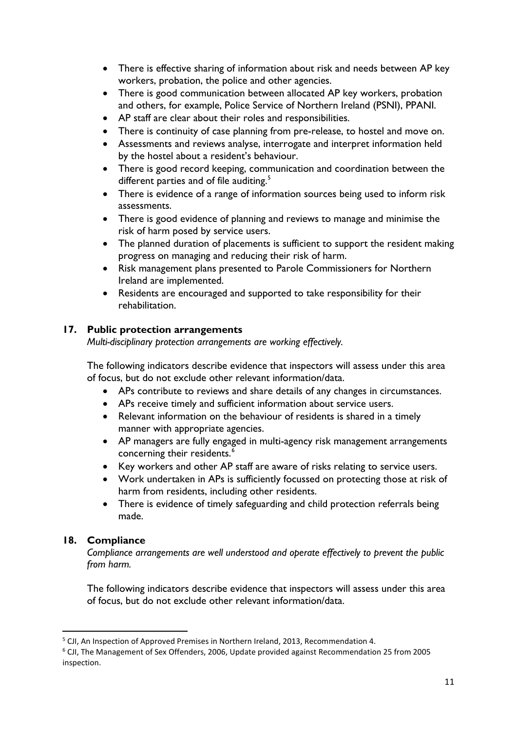- There is effective sharing of information about risk and needs between AP key workers, probation, the police and other agencies.
- There is good communication between allocated AP key workers, probation and others, for example, Police Service of Northern Ireland (PSNI), PPANI.
- AP staff are clear about their roles and responsibilities.
- There is continuity of case planning from pre-release, to hostel and move on.
- Assessments and reviews analyse, interrogate and interpret information held by the hostel about a resident's behaviour.
- There is good record keeping, communication and coordination between the different parties and of file auditing.<sup>[5](#page-10-0)</sup>
- There is evidence of a range of information sources being used to inform risk assessments.
- There is good evidence of planning and reviews to manage and minimise the risk of harm posed by service users.
- The planned duration of placements is sufficient to support the resident making progress on managing and reducing their risk of harm.
- Risk management plans presented to Parole Commissioners for Northern Ireland are implemented.
- Residents are encouraged and supported to take responsibility for their rehabilitation.

#### **17. Public protection arrangements**

*Multi-disciplinary protection arrangements are working effectively.*

The following indicators describe evidence that inspectors will assess under this area of focus, but do not exclude other relevant information/data.

- APs contribute to reviews and share details of any changes in circumstances.
- APs receive timely and sufficient information about service users.
- Relevant information on the behaviour of residents is shared in a timely manner with appropriate agencies.
- AP managers are fully engaged in multi-agency risk management arrangements concerning their residents. [6](#page-10-1)
- Key workers and other AP staff are aware of risks relating to service users.
- Work undertaken in APs is sufficiently focussed on protecting those at risk of harm from residents, including other residents.
- There is evidence of timely safeguarding and child protection referrals being made.

# **18. Compliance**

*Compliance arrangements are well understood and operate effectively to prevent the public from harm.*

<span id="page-10-0"></span><sup>&</sup>lt;sup>5</sup> CJI, An Inspection of Approved Premises in Northern Ireland, 2013, Recommendation 4.

<span id="page-10-1"></span><sup>6</sup> CJI, The Management of Sex Offenders, 2006, Update provided against Recommendation 25 from 2005 inspection.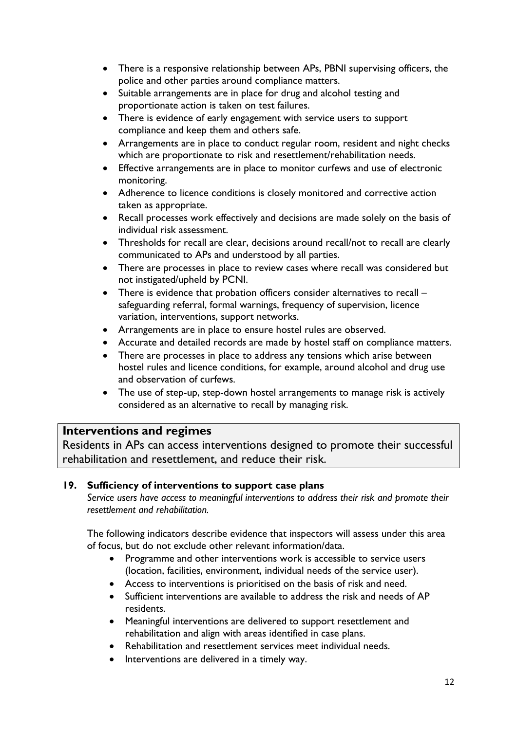- There is a responsive relationship between APs, PBNI supervising officers, the police and other parties around compliance matters.
- Suitable arrangements are in place for drug and alcohol testing and proportionate action is taken on test failures.
- There is evidence of early engagement with service users to support compliance and keep them and others safe.
- Arrangements are in place to conduct regular room, resident and night checks which are proportionate to risk and resettlement/rehabilitation needs.
- Effective arrangements are in place to monitor curfews and use of electronic monitoring.
- Adherence to licence conditions is closely monitored and corrective action taken as appropriate.
- Recall processes work effectively and decisions are made solely on the basis of individual risk assessment.
- Thresholds for recall are clear, decisions around recall/not to recall are clearly communicated to APs and understood by all parties.
- There are processes in place to review cases where recall was considered but not instigated/upheld by PCNI.
- There is evidence that probation officers consider alternatives to recall safeguarding referral, formal warnings, frequency of supervision, licence variation, interventions, support networks.
- Arrangements are in place to ensure hostel rules are observed.
- Accurate and detailed records are made by hostel staff on compliance matters.
- There are processes in place to address any tensions which arise between hostel rules and licence conditions, for example, around alcohol and drug use and observation of curfews.
- The use of step-up, step-down hostel arrangements to manage risk is actively considered as an alternative to recall by managing risk.

# **Interventions and regimes**

Residents in APs can access interventions designed to promote their successful rehabilitation and resettlement, and reduce their risk.

#### **19. Sufficiency of interventions to support case plans**

*Service users have access to meaningful interventions to address their risk and promote their resettlement and rehabilitation.*

- Programme and other interventions work is accessible to service users (location, facilities, environment, individual needs of the service user).
- Access to interventions is prioritised on the basis of risk and need.
- Sufficient interventions are available to address the risk and needs of AP residents.
- Meaningful interventions are delivered to support resettlement and rehabilitation and align with areas identified in case plans.
- Rehabilitation and resettlement services meet individual needs.
- Interventions are delivered in a timely way.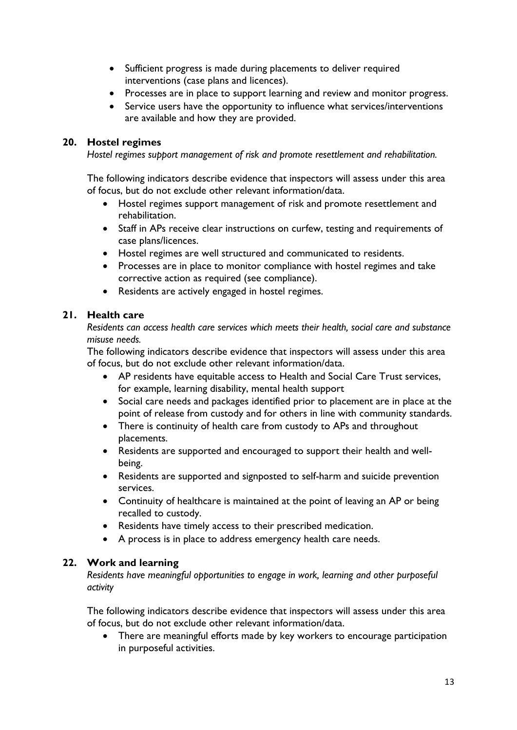- Sufficient progress is made during placements to deliver required interventions (case plans and licences).
- Processes are in place to support learning and review and monitor progress.
- Service users have the opportunity to influence what services/interventions are available and how they are provided.

#### **20. Hostel regimes**

*Hostel regimes support management of risk and promote resettlement and rehabilitation.*

The following indicators describe evidence that inspectors will assess under this area of focus, but do not exclude other relevant information/data.

- Hostel regimes support management of risk and promote resettlement and rehabilitation.
- Staff in APs receive clear instructions on curfew, testing and requirements of case plans/licences.
- Hostel regimes are well structured and communicated to residents.
- Processes are in place to monitor compliance with hostel regimes and take corrective action as required (see compliance).
- Residents are actively engaged in hostel regimes.

#### **21. Health care**

*Residents can access health care services which meets their health, social care and substance misuse needs.*

The following indicators describe evidence that inspectors will assess under this area of focus, but do not exclude other relevant information/data.

- AP residents have equitable access to Health and Social Care Trust services, for example, learning disability, mental health support
- Social care needs and packages identified prior to placement are in place at the point of release from custody and for others in line with community standards.
- There is continuity of health care from custody to APs and throughout placements.
- Residents are supported and encouraged to support their health and wellbeing.
- Residents are supported and signposted to self-harm and suicide prevention services.
- Continuity of healthcare is maintained at the point of leaving an AP or being recalled to custody.
- Residents have timely access to their prescribed medication.
- A process is in place to address emergency health care needs.

# **22. Work and learning**

*Residents have meaningful opportunities to engage in work, learning and other purposeful activity*

The following indicators describe evidence that inspectors will assess under this area of focus, but do not exclude other relevant information/data.

• There are meaningful efforts made by key workers to encourage participation in purposeful activities.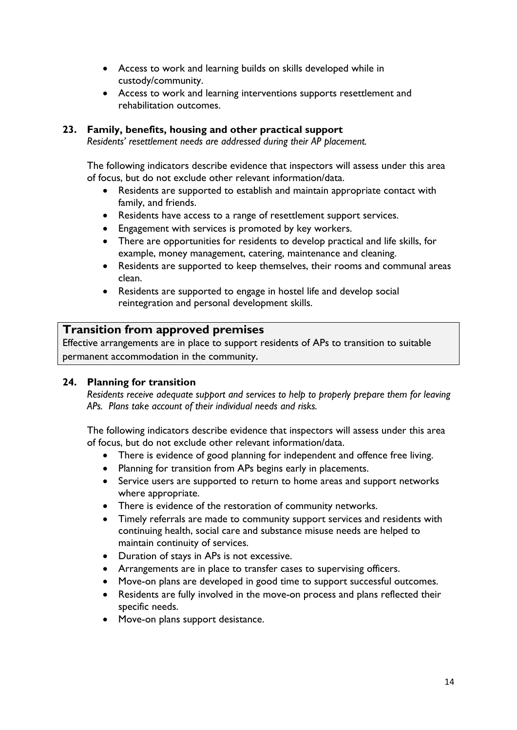- Access to work and learning builds on skills developed while in custody/community.
- Access to work and learning interventions supports resettlement and rehabilitation outcomes.

#### **23. Family, benefits, housing and other practical support**

*Residents' resettlement needs are addressed during their AP placement.*

The following indicators describe evidence that inspectors will assess under this area of focus, but do not exclude other relevant information/data.

- Residents are supported to establish and maintain appropriate contact with family, and friends.
- Residents have access to a range of resettlement support services.
- Engagement with services is promoted by key workers.
- There are opportunities for residents to develop practical and life skills, for example, money management, catering, maintenance and cleaning.
- Residents are supported to keep themselves, their rooms and communal areas clean.
- Residents are supported to engage in hostel life and develop social reintegration and personal development skills.

#### **Transition from approved premises**

Effective arrangements are in place to support residents of APs to transition to suitable permanent accommodation in the community.

#### **24. Planning for transition**

*Residents receive adequate support and services to help to properly prepare them for leaving APs. Plans take account of their individual needs and risks.*

- There is evidence of good planning for independent and offence free living.
- Planning for transition from APs begins early in placements.
- Service users are supported to return to home areas and support networks where appropriate.
- There is evidence of the restoration of community networks.
- Timely referrals are made to community support services and residents with continuing health, social care and substance misuse needs are helped to maintain continuity of services.
- Duration of stays in APs is not excessive.
- Arrangements are in place to transfer cases to supervising officers.
- Move-on plans are developed in good time to support successful outcomes.
- Residents are fully involved in the move-on process and plans reflected their specific needs.
- Move-on plans support desistance.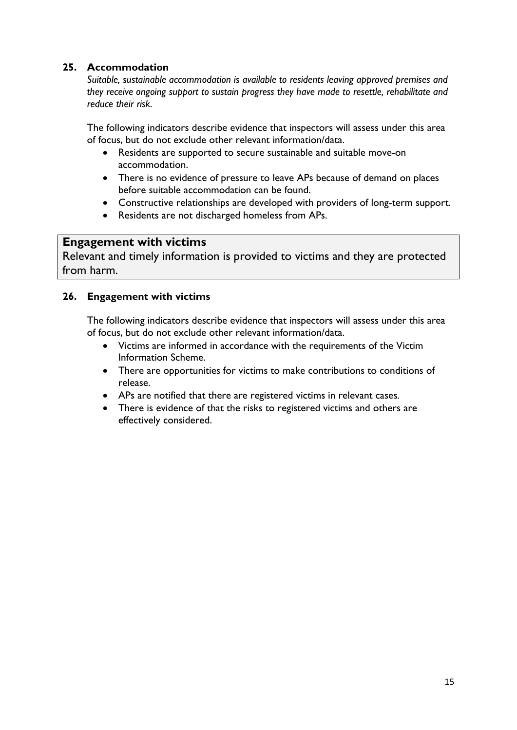### **25. Accommodation**

*Suitable, sustainable accommodation is available to residents leaving approved premises and they receive ongoing support to sustain progress they have made to resettle, rehabilitate and reduce their risk.*

The following indicators describe evidence that inspectors will assess under this area of focus, but do not exclude other relevant information/data.

- Residents are supported to secure sustainable and suitable move-on accommodation.
- There is no evidence of pressure to leave APs because of demand on places before suitable accommodation can be found.
- Constructive relationships are developed with providers of long-term support.
- Residents are not discharged homeless from APs.

# **Engagement with victims**

Relevant and timely information is provided to victims and they are protected from harm.

#### **26. Engagement with victims**

- Victims are informed in accordance with the requirements of the Victim Information Scheme.
- There are opportunities for victims to make contributions to conditions of release.
- APs are notified that there are registered victims in relevant cases.
- There is evidence of that the risks to registered victims and others are effectively considered.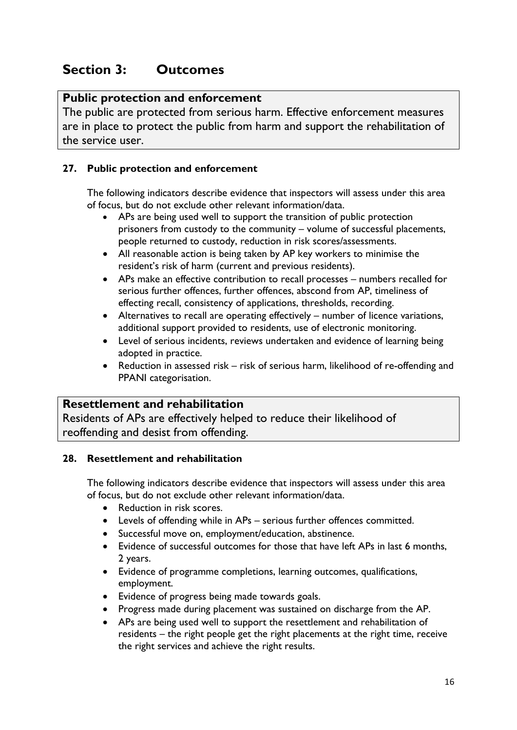# **Section 3: Outcomes**

# **Public protection and enforcement**

The public are protected from serious harm. Effective enforcement measures are in place to protect the public from harm and support the rehabilitation of the service user.

#### **27. Public protection and enforcement**

The following indicators describe evidence that inspectors will assess under this area of focus, but do not exclude other relevant information/data.

- APs are being used well to support the transition of public protection prisoners from custody to the community – volume of successful placements, people returned to custody, reduction in risk scores/assessments.
- All reasonable action is being taken by AP key workers to minimise the resident's risk of harm (current and previous residents).
- APs make an effective contribution to recall processes numbers recalled for serious further offences, further offences, abscond from AP, timeliness of effecting recall, consistency of applications, thresholds, recording.
- Alternatives to recall are operating effectively number of licence variations, additional support provided to residents, use of electronic monitoring.
- Level of serious incidents, reviews undertaken and evidence of learning being adopted in practice.
- Reduction in assessed risk risk of serious harm, likelihood of re-offending and PPANI categorisation.

# **Resettlement and rehabilitation**

Residents of APs are effectively helped to reduce their likelihood of reoffending and desist from offending.

#### **28. Resettlement and rehabilitation**

- Reduction in risk scores.
- Levels of offending while in APs serious further offences committed.
- Successful move on, employment/education, abstinence.
- Evidence of successful outcomes for those that have left APs in last 6 months, 2 years.
- Evidence of programme completions, learning outcomes, qualifications, employment.
- Evidence of progress being made towards goals.
- Progress made during placement was sustained on discharge from the AP.
- APs are being used well to support the resettlement and rehabilitation of residents – the right people get the right placements at the right time, receive the right services and achieve the right results.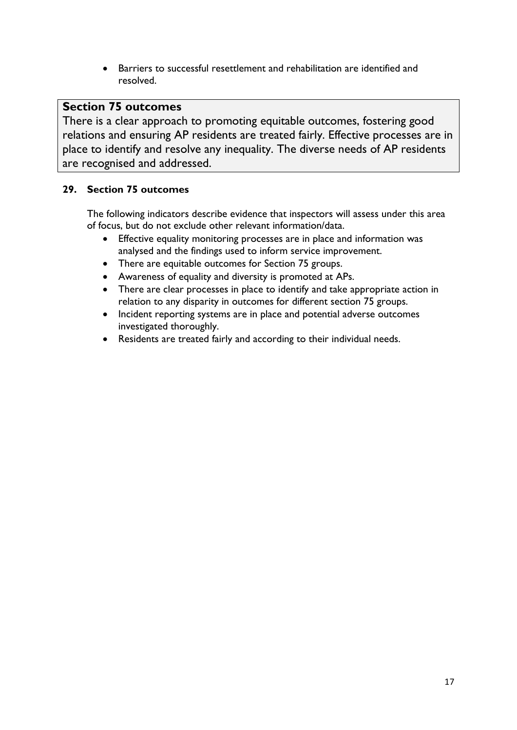• Barriers to successful resettlement and rehabilitation are identified and resolved.

# **Section 75 outcomes**

There is a clear approach to promoting equitable outcomes, fostering good relations and ensuring AP residents are treated fairly. Effective processes are in place to identify and resolve any inequality. The diverse needs of AP residents are recognised and addressed.

#### **29. Section 75 outcomes**

- Effective equality monitoring processes are in place and information was analysed and the findings used to inform service improvement.
- There are equitable outcomes for Section 75 groups.
- Awareness of equality and diversity is promoted at APs.
- There are clear processes in place to identify and take appropriate action in relation to any disparity in outcomes for different section 75 groups.
- Incident reporting systems are in place and potential adverse outcomes investigated thoroughly.
- Residents are treated fairly and according to their individual needs.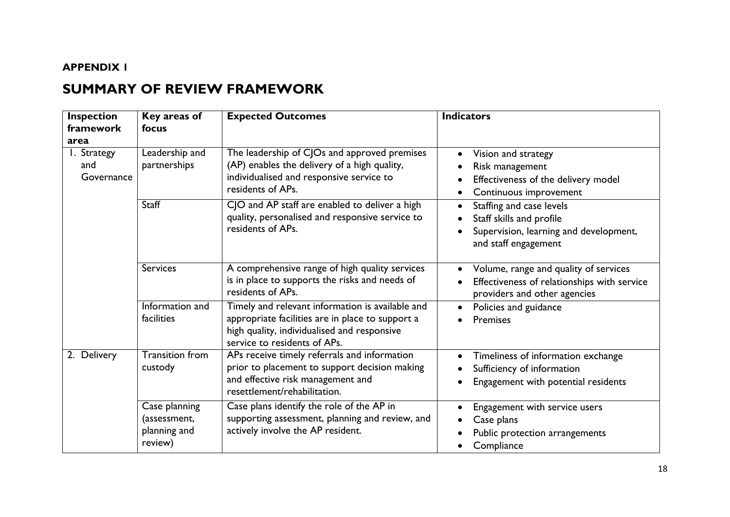#### **APPENDIX 1**

# **SUMMARY OF REVIEW FRAMEWORK**

| <b>Inspection</b><br>framework<br>area | Key areas of<br>focus                                    | <b>Expected Outcomes</b>                                                                                                                                                            | <b>Indicators</b>                                                                                                      |
|----------------------------------------|----------------------------------------------------------|-------------------------------------------------------------------------------------------------------------------------------------------------------------------------------------|------------------------------------------------------------------------------------------------------------------------|
| I. Strategy<br>and<br>Governance       | Leadership and<br>partnerships                           | The leadership of CJOs and approved premises<br>(AP) enables the delivery of a high quality,<br>individualised and responsive service to<br>residents of APs.                       | Vision and strategy<br>Risk management<br>Effectiveness of the delivery model<br>Continuous improvement                |
|                                        | Staff                                                    | CJO and AP staff are enabled to deliver a high<br>quality, personalised and responsive service to<br>residents of APs.                                                              | Staffing and case levels<br>Staff skills and profile<br>Supervision, learning and development,<br>and staff engagement |
|                                        | <b>Services</b>                                          | A comprehensive range of high quality services<br>is in place to supports the risks and needs of<br>residents of APs.                                                               | Volume, range and quality of services<br>Effectiveness of relationships with service<br>providers and other agencies   |
|                                        | Information and<br>facilities                            | Timely and relevant information is available and<br>appropriate facilities are in place to support a<br>high quality, individualised and responsive<br>service to residents of APs. | Policies and guidance<br>Premises                                                                                      |
| 2. Delivery                            | <b>Transition from</b><br>custody                        | APs receive timely referrals and information<br>prior to placement to support decision making<br>and effective risk management and<br>resettlement/rehabilitation.                  | Timeliness of information exchange<br>Sufficiency of information<br>Engagement with potential residents                |
|                                        | Case planning<br>(assessment,<br>planning and<br>review) | Case plans identify the role of the AP in<br>supporting assessment, planning and review, and<br>actively involve the AP resident.                                                   | Engagement with service users<br>Case plans<br>Public protection arrangements<br>Compliance                            |